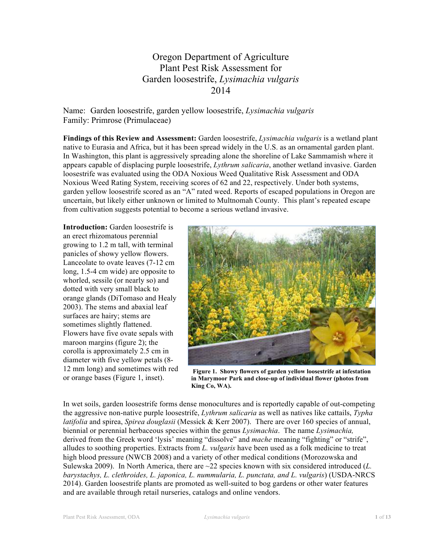# Oregon Department of Agriculture Plant Pest Risk Assessment for Garden loosestrife, *Lysimachia vulgaris* 2014

Name: Garden loosestrife, garden yellow loosestrife, *Lysimachia vulgaris* Family: Primrose (Primulaceae)

**Findings of this Review and Assessment:** Garden loosestrife, *Lysimachia vulgaris* is a wetland plant native to Eurasia and Africa, but it has been spread widely in the U.S. as an ornamental garden plant. In Washington, this plant is aggressively spreading alone the shoreline of Lake Sammamish where it appears capable of displacing purple loosestrife, *Lythrum salicaria*, another wetland invasive. Garden loosestrife was evaluated using the ODA Noxious Weed Qualitative Risk Assessment and ODA Noxious Weed Rating System, receiving scores of 62 and 22, respectively. Under both systems, garden yellow loosestrife scored as an "A" rated weed. Reports of escaped populations in Oregon are uncertain, but likely either unknown or limited to Multnomah County. This plant's repeated escape from cultivation suggests potential to become a serious wetland invasive.

**Introduction:** Garden loosestrife is an erect rhizomatous perennial growing to 1.2 m tall, with terminal panicles of showy yellow flowers. Lanceolate to ovate leaves (7-12 cm long, 1.5-4 cm wide) are opposite to whorled, sessile (or nearly so) and dotted with very small black to orange glands (DiTomaso and Healy 2003). The stems and abaxial leaf surfaces are hairy; stems are sometimes slightly flattened. Flowers have five ovate sepals with maroon margins (figure 2); the corolla is approximately 2.5 cm in diameter with five yellow petals (8- 12 mm long) and sometimes with red or orange bases (Figure 1, inset).



**Figure 1. Showy flowers of garden yellow loosestrife at infestation in Marymoor Park and close-up of individual flower (photos from King Co, WA).**

In wet soils, garden loosestrife forms dense monocultures and is reportedly capable of out-competing the aggressive non-native purple loosestrife, *Lythrum salicaria* as well as natives like cattails, *Typha latifolia* and spirea, *Spirea douglasii* (Messick & Kerr 2007). There are over 160 species of annual, biennial or perennial herbaceous species within the genus *Lysimachia*. The name *Lysimachia,*  derived from the Greek word 'lysis' meaning "dissolve" and *mache* meaning "fighting" or "strife", alludes to soothing properties. Extracts from *L. vulgaris* have been used as a folk medicine to treat high blood pressure (NWCB 2008) and a variety of other medical conditions (Morozowska and Sulewska 2009). In North America, there are ~22 species known with six considered introduced (*L. barystachys, L. clethroides, L. japonica, L. nummularia, L. punctata, and L. vulgaris*) (USDA-NRCS 2014). Garden loosestrife plants are promoted as well-suited to bog gardens or other water features and are available through retail nurseries, catalogs and online vendors.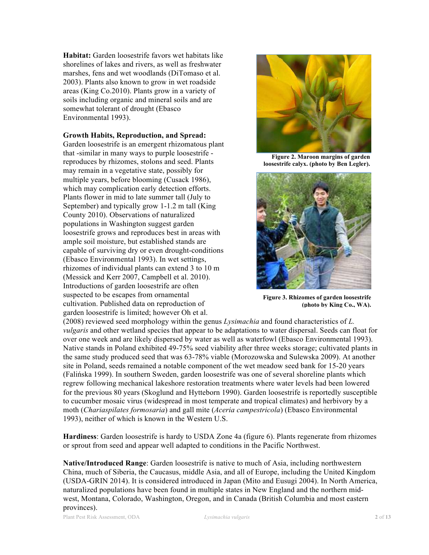**Habitat:** Garden loosestrife favors wet habitats like shorelines of lakes and rivers, as well as freshwater marshes, fens and wet woodlands (DiTomaso et al. 2003). Plants also known to grow in wet roadside areas (King Co.2010). Plants grow in a variety of soils including organic and mineral soils and are somewhat tolerant of drought (Ebasco Environmental 1993).

#### **Growth Habits, Reproduction, and Spread:**

Garden loosestrife is an emergent rhizomatous plant that -similar in many ways to purple loosestrife reproduces by rhizomes, stolons and seed. Plants may remain in a vegetative state, possibly for multiple years, before blooming (Cusack 1986), which may complication early detection efforts. Plants flower in mid to late summer tall (July to September) and typically grow 1-1.2 m tall (King County 2010). Observations of naturalized populations in Washington suggest garden loosestrife grows and reproduces best in areas with ample soil moisture, but established stands are capable of surviving dry or even drought-conditions (Ebasco Environmental 1993). In wet settings, rhizomes of individual plants can extend 3 to 10 m (Messick and Kerr 2007, Campbell et al. 2010). Introductions of garden loosestrife are often suspected to be escapes from ornamental cultivation. Published data on reproduction of garden loosestrife is limited; however Oh et al.



**Figure 2. Maroon margins of garden loosestrife calyx. (photo by Ben Legler).** 



**Figure 3. Rhizomes of garden loosestrife (photo by King Co., WA).**

(2008) reviewed seed morphology within the genus *Lysimachia* and found characteristics of *L. vulgaris* and other wetland species that appear to be adaptations to water dispersal. Seeds can float for over one week and are likely dispersed by water as well as waterfowl (Ebasco Environmental 1993). Native stands in Poland exhibited 49-75% seed viability after three weeks storage; cultivated plants in the same study produced seed that was 63-78% viable (Morozowska and Sulewska 2009). At another site in Poland, seeds remained a notable component of the wet meadow seed bank for 15-20 years (Falińska 1999). In southern Sweden, garden loosestrife was one of several shoreline plants which regrew following mechanical lakeshore restoration treatments where water levels had been lowered for the previous 80 years (Skoglund and Hytteborn 1990). Garden loosestrife is reportedly susceptible to cucumber mosaic virus (widespread in most temperate and tropical climates) and herbivory by a moth (*Chariaspilates formosaria*) and gall mite (*Aceria campestricola*) (Ebasco Environmental 1993), neither of which is known in the Western U.S.

**Hardiness**: Garden loosestrife is hardy to USDA Zone 4a (figure 6). Plants regenerate from rhizomes or sprout from seed and appear well adapted to conditions in the Pacific Northwest.

**Native/Introduced Range**: Garden loosestrife is native to much of Asia, including northwestern China, much of Siberia, the Caucasus, middle Asia, and all of Europe, including the United Kingdom (USDA-GRIN 2014). It is considered introduced in Japan (Mito and Eusugi 2004). In North America, naturalized populations have been found in multiple states in New England and the northern midwest, Montana, Colorado, Washington, Oregon, and in Canada (British Columbia and most eastern provinces).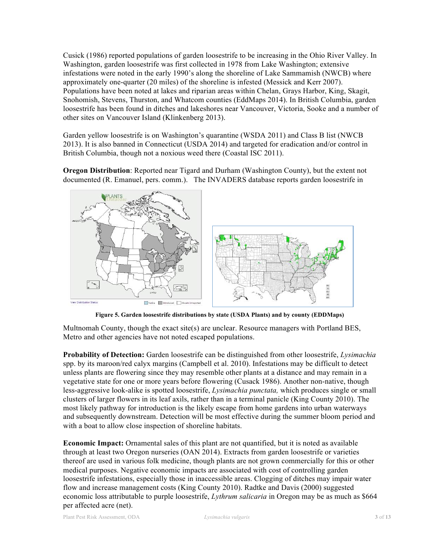Cusick (1986) reported populations of garden loosestrife to be increasing in the Ohio River Valley. In Washington, garden loosestrife was first collected in 1978 from Lake Washington; extensive infestations were noted in the early 1990's along the shoreline of Lake Sammamish (NWCB) where approximately one-quarter (20 miles) of the shoreline is infested (Messick and Kerr 2007). Populations have been noted at lakes and riparian areas within Chelan, Grays Harbor, King, Skagit, Snohomish, Stevens, Thurston, and Whatcom counties (EddMaps 2014). In British Columbia, garden loosestrife has been found in ditches and lakeshores near Vancouver, Victoria, Sooke and a number of other sites on Vancouver Island (Klinkenberg 2013).

Garden yellow loosestrife is on Washington's quarantine (WSDA 2011) and Class B list (NWCB 2013). It is also banned in Connecticut (USDA 2014) and targeted for eradication and/or control in British Columbia, though not a noxious weed there (Coastal ISC 2011).

**Oregon Distribution**: Reported near Tigard and Durham (Washington County), but the extent not documented (R. Emanuel, pers. comm.). The INVADERS database reports garden loosestrife in



**Figure 5. Garden loosestrife distributions by state (USDA Plants) and by county (EDDMaps)**

Multnomah County, though the exact site(s) are unclear. Resource managers with Portland BES, Metro and other agencies have not noted escaped populations.

**Probability of Detection:** Garden loosestrife can be distinguished from other loosestrife, *Lysimachia* spp. by its maroon/red calyx margins (Campbell et al. 2010). Infestations may be difficult to detect unless plants are flowering since they may resemble other plants at a distance and may remain in a vegetative state for one or more years before flowering (Cusack 1986). Another non-native, though less-aggressive look-alike is spotted loosestrife, *Lysimachia punctata,* which produces single or small clusters of larger flowers in its leaf axils, rather than in a terminal panicle (King County 2010). The most likely pathway for introduction is the likely escape from home gardens into urban waterways and subsequently downstream. Detection will be most effective during the summer bloom period and with a boat to allow close inspection of shoreline habitats.

**Economic Impact:** Ornamental sales of this plant are not quantified, but it is noted as available through at least two Oregon nurseries (OAN 2014). Extracts from garden loosestrife or varieties thereof are used in various folk medicine, though plants are not grown commercially for this or other medical purposes. Negative economic impacts are associated with cost of controlling garden loosestrife infestations, especially those in inaccessible areas. Clogging of ditches may impair water flow and increase management costs (King County 2010). Radtke and Davis (2000) suggested economic loss attributable to purple loosestrife, *Lythrum salicaria* in Oregon may be as much as \$664 per affected acre (net).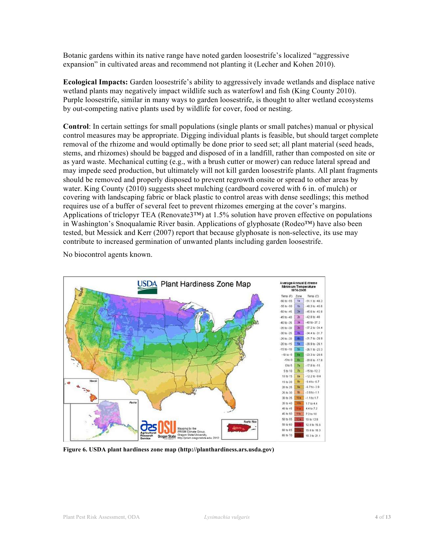Botanic gardens within its native range have noted garden loosestrife's localized "aggressive expansion" in cultivated areas and recommend not planting it (Lecher and Kohen 2010).

**Ecological Impacts:** Garden loosestrife's ability to aggressively invade wetlands and displace native wetland plants may negatively impact wildlife such as waterfowl and fish (King County 2010). Purple loosestrife, similar in many ways to garden loosestrife, is thought to alter wetland ecosystems by out-competing native plants used by wildlife for cover, food or nesting.

**Control**: In certain settings for small populations (single plants or small patches) manual or physical control measures may be appropriate. Digging individual plants is feasible, but should target complete removal of the rhizome and would optimally be done prior to seed set; all plant material (seed heads, stems, and rhizomes) should be bagged and disposed of in a landfill, rather than composted on site or as yard waste. Mechanical cutting (e.g., with a brush cutter or mower) can reduce lateral spread and may impede seed production, but ultimately will not kill garden loosestrife plants. All plant fragments should be removed and properly disposed to prevent regrowth onsite or spread to other areas by water. King County (2010) suggests sheet mulching (cardboard covered with 6 in. of mulch) or covering with landscaping fabric or black plastic to control areas with dense seedlings; this method requires use of a buffer of several feet to prevent rhizomes emerging at the cover's margins. Applications of triclopyr TEA (Renovate3™) at 1.5% solution have proven effective on populations in Washington's Snoqualamie River basin. Applications of glyphosate (Rodeo™) have also been tested, but Messick and Kerr (2007) report that because glyphosate is non-selective, its use may contribute to increased germination of unwanted plants including garden loosestrife.

No biocontrol agents known.



**Figure 6. USDA plant hardiness zone map (http://planthardiness.ars.usda.gov)**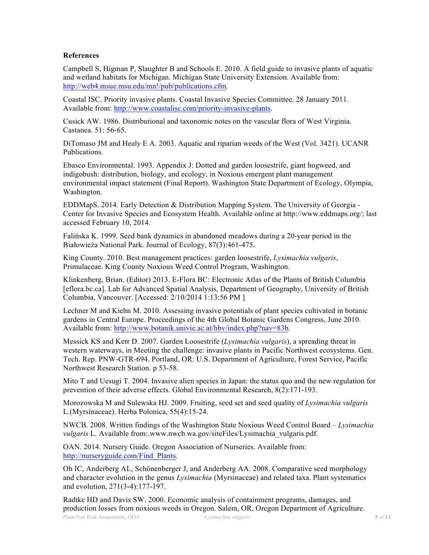#### **References**

Campbell S, Higman P, Slaughter B and Schools E. 2010. A field guide to invasive plants of aquatic and wetland habitats for Michigan. Michigan State University Extension. Available from: http://web4.msue.msu.edu/mn!/pub/publications.cfm.

Coastal ISC. Priority invasive plants. Coastal Invasive Species Committee. 28 January 2011. Available from: http://www.coastalisc.com/priority-invasive-plants.

Cusick AW. 1986. Distributional and taxonomic notes on the vascular flora of West Virginia. Castanea. 51: 56-65.

DiTomaso JM and Healy E A. 2003. Aquatic and riparian weeds of the West (Vol. 3421). UCANR Publications.

Ebasco Environmental. 1993. Appendix J: Dotted and garden loosestrife, giant hogweed, and indigobush: distribution, biology, and ecology, in Noxious emergent plant management environmental impact statement (Final Report). Washington State Department of Ecology, Olympia, Washington.

EDDMapS. 2014. Early Detection & Distribution Mapping System. The University of Georgia - Center for Invasive Species and Ecosystem Health. Available online at http://www.eddmaps.org/; last accessed February 10, 2014.

Falińska K. 1999. Seed bank dynamics in abandoned meadows during a 20-year period in the Białowieża National Park. Journal of Ecology, 87(3):461-475.

King County. 2010. Best management practices: garden loosestrife, *Lysimachia vulgaris*, Primulaceae. King County Noxious Weed Control Program, Washington.

Klinkenberg, Brian. (Editor) 2013. E-Flora BC: Electronic Atlas of the Plants of British Columbia [eflora.bc.ca]. Lab for Advanced Spatial Analysis, Department of Geography, University of British Columbia, Vancouver. [Accessed: 2/10/2014 1:13:56 PM ]

Lechner M and Kiehn M. 2010. Assessing invasive potentials of plant species cultivated in botanic gardens in Central Europe. Proceedings of the 4th Global Botanic Gardens Congress, June 2010. Available from: http://www.botanik.univie.ac.at/hbv/index.php?nav=83b.

Messick KS and Kerr D. 2007. Garden Loosestrife (*Lysimachia vulgaris*), a spreading threat in western waterways, in Meeting the challenge: invasive plants in Pacific Northwest ecosystems. Gen. Tech. Rep. PNW-GTR-694. Portland, OR: U.S. Department of Agriculture, Forest Service, Pacific Northwest Research Station. p 53-58.

Mito T and Uesugi T. 2004. Invasive alien species in Japan: the status quo and the new regulation for prevention of their adverse effects. Global Environmental Research, 8(2):171-193.

Morozowska M and Sulewska HJ. 2009. Fruiting, seed set and seed quality of *Lysimachia vulgaris* L.(Myrsinaceae). Herba Polonica, 55(4):15-24.

NWCB. 2008. Written findings of the Washington State Noxious Weed Control Board – *Lysimachia vulgaris* L. Available from:.www.nwcb.wa.gov/siteFiles/Lysimachia\_vulgaris.pdf.

OAN. 2014. Nursery Guide. Oregon Association of Nurseries. Available from: http://nurseryguide.com/Find\_Plants.

Oh IC, Anderberg AL, Schönenberger J, and Anderberg AA. 2008. Comparative seed morphology and character evolution in the genus *Lysimachia* (Myrsinaceae) and related taxa. Plant systematics and evolution, 271(3-4):177-197.

Plant Pest Risk Assessment, ODA *Lysimachia vulgaris* **5** of **13** Radtke HD and Davis SW. 2000. Economic analysis of containment programs, damages, and production losses from noxious weeds in Oregon. Salem, OR, Oregon Department of Agriculture.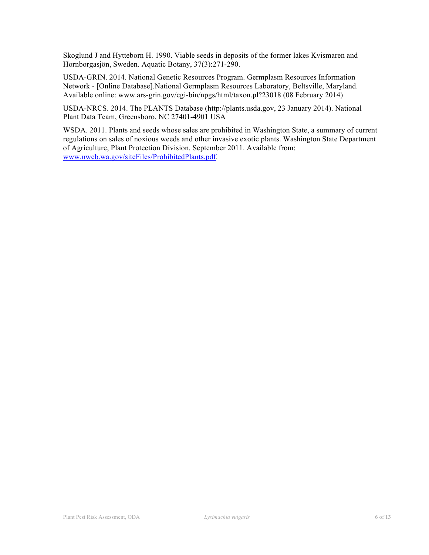Skoglund J and Hytteborn H. 1990. Viable seeds in deposits of the former lakes Kvismaren and Hornborgasjön, Sweden. Aquatic Botany, 37(3):271-290.

USDA-GRIN. 2014. National Genetic Resources Program. Germplasm Resources Information Network - [Online Database].National Germplasm Resources Laboratory, Beltsville, Maryland. Available online: www.ars-grin.gov/cgi-bin/npgs/html/taxon.pl?23018 (08 February 2014)

USDA-NRCS. 2014. The PLANTS Database (http://plants.usda.gov, 23 January 2014). National Plant Data Team, Greensboro, NC 27401-4901 USA

WSDA. 2011. Plants and seeds whose sales are prohibited in Washington State, a summary of current regulations on sales of noxious weeds and other invasive exotic plants. Washington State Department of Agriculture, Plant Protection Division. September 2011. Available from: www.nwcb.wa.gov/siteFiles/ProhibitedPlants.pdf.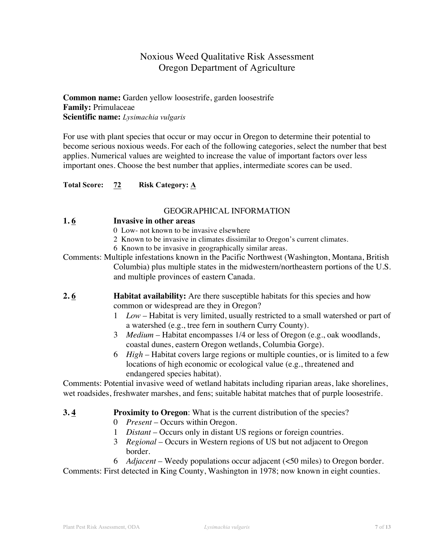# Noxious Weed Qualitative Risk Assessment Oregon Department of Agriculture

## **Common name:** Garden yellow loosestrife, garden loosestrife **Family:** Primulaceae **Scientific name:** *Lysimachia vulgaris*

For use with plant species that occur or may occur in Oregon to determine their potential to become serious noxious weeds. For each of the following categories, select the number that best applies. Numerical values are weighted to increase the value of important factors over less important ones. Choose the best number that applies, intermediate scores can be used.

**Total Score: 72 Risk Category: A**

#### GEOGRAPHICAL INFORMATION

#### **1. 6 Invasive in other areas**

- 0 Low- not known to be invasive elsewhere
- 2 Known to be invasive in climates dissimilar to Oregon's current climates.
- 6 Known to be invasive in geographically similar areas.
- Comments: Multiple infestations known in the Pacific Northwest (Washington, Montana, British Columbia) plus multiple states in the midwestern/northeastern portions of the U.S. and multiple provinces of eastern Canada.
- **2.6 Habitat availability:** Are there susceptible habitats for this species and how common or widespread are they in Oregon?
	- 1 *Low* Habitat is very limited, usually restricted to a small watershed or part of a watershed (e.g., tree fern in southern Curry County).
	- 3 *Medium* Habitat encompasses 1/4 or less of Oregon (e.g., oak woodlands, coastal dunes, eastern Oregon wetlands, Columbia Gorge).
	- 6 *High* Habitat covers large regions or multiple counties, or is limited to a few locations of high economic or ecological value (e.g., threatened and endangered species habitat).

Comments: Potential invasive weed of wetland habitats including riparian areas, lake shorelines, wet roadsides, freshwater marshes, and fens; suitable habitat matches that of purple loosestrife.

#### **3. 4 Proximity to Oregon**: What is the current distribution of the species?

- 0 *Present* Occurs within Oregon.
- 1 *Distant* Occurs only in distant US regions or foreign countries.
- 3 *Regional* Occurs in Western regions of US but not adjacent to Oregon border.
- 6 *Adjacent* Weedy populations occur adjacent (<50 miles) to Oregon border.

Comments: First detected in King County, Washington in 1978; now known in eight counties.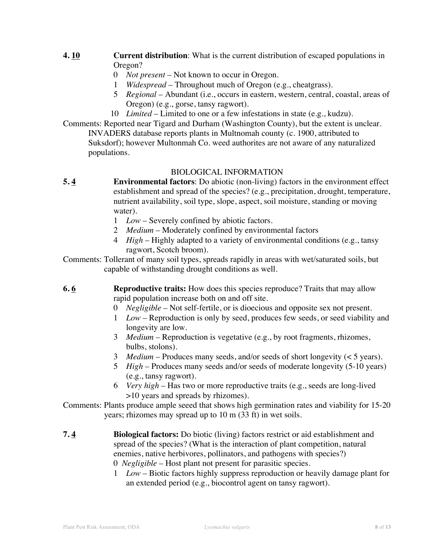- **4. 10 Current distribution**: What is the current distribution of escaped populations in Oregon?
	- 0 *Not present* Not known to occur in Oregon.
	- 1 *Widespread* Throughout much of Oregon (e.g., cheatgrass).
	- 5 *Regional* Abundant (i.e., occurs in eastern, western, central, coastal, areas of Oregon) (e.g., gorse, tansy ragwort).
	- 10 *Limited* Limited to one or a few infestations in state (e.g., kudzu).

Comments: Reported near Tigard and Durham (Washington County), but the extent is unclear. INVADERS database reports plants in Multnomah county (c. 1900, attributed to Suksdorf); however Multonmah Co. weed authorites are not aware of any naturalized populations.

## BIOLOGICAL INFORMATION

- **5. 4 Environmental factors**: Do abiotic (non-living) factors in the environment effect establishment and spread of the species? (e.g., precipitation, drought, temperature, nutrient availability, soil type, slope, aspect, soil moisture, standing or moving water).
	- 1 *Low* Severely confined by abiotic factors.
	- 2 *Medium* Moderately confined by environmental factors
	- 4 *High* Highly adapted to a variety of environmental conditions (e.g., tansy ragwort, Scotch broom).
- Comments: Tollerant of many soil types, spreads rapidly in areas with wet/saturated soils, but capable of withstanding drought conditions as well.
- **6. 6 Reproductive traits:** How does this species reproduce? Traits that may allow rapid population increase both on and off site.
	- 0 *Negligible* Not self-fertile, or is dioecious and opposite sex not present.
	- 1 *Low* Reproduction is only by seed, produces few seeds, or seed viability and longevity are low.
	- 3 *Medium* Reproduction is vegetative (e.g., by root fragments, rhizomes, bulbs, stolons).
	- 3 *Medium* Produces many seeds, and/or seeds of short longevity (< 5 years).
	- 5 *High* Produces many seeds and/or seeds of moderate longevity (5-10 years) (e.g., tansy ragwort).
	- 6 *Very high* Has two or more reproductive traits (e.g., seeds are long-lived >10 years and spreads by rhizomes).

Comments: Plants produce ample seeed that shows high germination rates and viability for 15-20 years; rhizomes may spread up to 10 m (33 ft) in wet soils.

- **7. 4 Biological factors:** Do biotic (living) factors restrict or aid establishment and spread of the species? (What is the interaction of plant competition, natural enemies, native herbivores, pollinators, and pathogens with species?)
	- 0 *Negligible* Host plant not present for parasitic species.
	- 1 *Low* Biotic factors highly suppress reproduction or heavily damage plant for an extended period (e.g., biocontrol agent on tansy ragwort).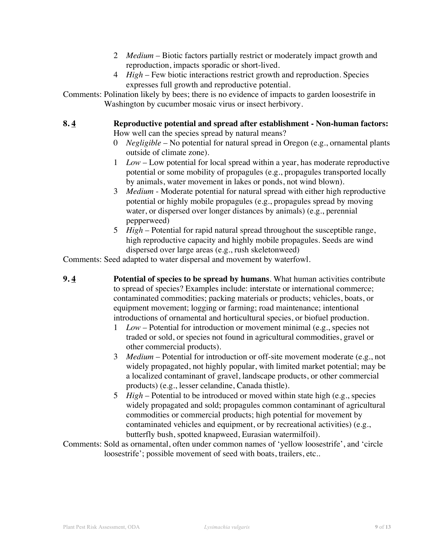- 2 *Medium* Biotic factors partially restrict or moderately impact growth and reproduction, impacts sporadic or short-lived.
- 4 *High* Few biotic interactions restrict growth and reproduction. Species expresses full growth and reproductive potential.
- Comments: Polination likely by bees; there is no evidence of impacts to garden loosestrife in Washington by cucumber mosaic virus or insect herbivory.

#### **8. 4 Reproductive potential and spread after establishment - Non-human factors:**  How well can the species spread by natural means?

- 0 *Negligible*  No potential for natural spread in Oregon (e.g., ornamental plants outside of climate zone).
- 1 *Low* Low potential for local spread within a year, has moderate reproductive potential or some mobility of propagules (e.g., propagules transported locally by animals, water movement in lakes or ponds, not wind blown).
- 3 *Medium* Moderate potential for natural spread with either high reproductive potential or highly mobile propagules (e.g., propagules spread by moving water, or dispersed over longer distances by animals) (e.g., perennial pepperweed)
- 5 *High*  Potential for rapid natural spread throughout the susceptible range, high reproductive capacity and highly mobile propagules. Seeds are wind dispersed over large areas (e.g., rush skeletonweed)

Comments: Seed adapted to water dispersal and movement by waterfowl.

- **9. 4 Potential of species to be spread by humans**. What human activities contribute to spread of species? Examples include: interstate or international commerce; contaminated commodities; packing materials or products; vehicles, boats, or equipment movement; logging or farming; road maintenance; intentional introductions of ornamental and horticultural species, or biofuel production.
	- 1 *Low* Potential for introduction or movement minimal (e.g., species not traded or sold, or species not found in agricultural commodities, gravel or other commercial products).
	- 3 *Medium*  Potential for introduction or off-site movement moderate (e.g., not widely propagated, not highly popular, with limited market potential; may be a localized contaminant of gravel, landscape products, or other commercial products) (e.g., lesser celandine, Canada thistle).
	- 5 *High*  Potential to be introduced or moved within state high (e.g., species widely propagated and sold; propagules common contaminant of agricultural commodities or commercial products; high potential for movement by contaminated vehicles and equipment, or by recreational activities) (e.g., butterfly bush, spotted knapweed, Eurasian watermilfoil).
- Comments: Sold as ornamental, often under common names of 'yellow loosestrife', and 'circle loosestrife'; possible movement of seed with boats, trailers, etc..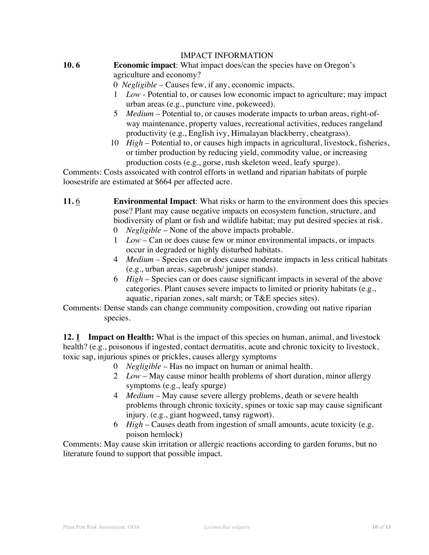#### IMPACT INFORMATION

# **10. 6 Economic impact**: What impact does/can the species have on Oregon's

agriculture and economy?

0 *Negligible* – Causes few, if any, economic impacts.

- 1 *Low* Potential to, or causes low economic impact to agriculture; may impact urban areas (e.g., puncture vine, pokeweed).
- 5 *Medium* Potential to, or causes moderate impacts to urban areas, right-ofway maintenance, property values, recreational activities, reduces rangeland productivity (e.g., English ivy, Himalayan blackberry, cheatgrass).
- 10 *High*  Potential to, or causes high impacts in agricultural, livestock, fisheries, or timber production by reducing yield, commodity value, or increasing production costs (e.g., gorse, rush skeleton weed, leafy spurge).

Comments: Costs assoicated with control efforts in wetland and riparian habitats of purple loosestrife are estimated at \$664 per affected acre.

- **11.** 6 **Environmental Impact**: What risks or harm to the environment does this species pose? Plant may cause negative impacts on ecosystem function, structure, and biodiversity of plant or fish and wildlife habitat; may put desired species at risk.
	- 0 *Negligible*  None of the above impacts probable.
	- 1 *Low* Can or does cause few or minor environmental impacts, or impacts occur in degraded or highly disturbed habitats.
	- 4 *Medium*  Species can or does cause moderate impacts in less critical habitats (e.g., urban areas, sagebrush/ juniper stands).
	- 6 *High*  Species can or does cause significant impacts in several of the above categories. Plant causes severe impacts to limited or priority habitats (e.g., aquatic, riparian zones, salt marsh; or T&E species sites).
- Comments: Dense stands can change community composition, crowding out native riparian species.

**12. 1 Impact on Health:** What is the impact of this species on human, animal, and livestock health? (e.g., poisonous if ingested, contact dermatitis, acute and chronic toxicity to livestock, toxic sap, injurious spines or prickles, causes allergy symptoms

- 0 *Negligible* Has no impact on human or animal health.
- 2 *Low*  May cause minor health problems of short duration, minor allergy symptoms (e.g., leafy spurge)
- 4 *Medium*  May cause severe allergy problems, death or severe health problems through chronic toxicity, spines or toxic sap may cause significant injury. (e.g., giant hogweed, tansy ragwort).
- 6 *High* Causes death from ingestion of small amounts, acute toxicity (e.g. poison hemlock)

Comments: May cause skin irritation or allergic reactions according to garden forums, but no literature found to support that possible impact.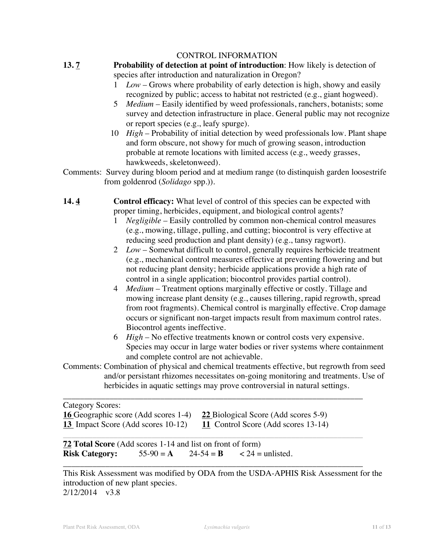#### CONTROL INFORMATION

**13. 7 Probability of detection at point of introduction**: How likely is detection of

species after introduction and naturalization in Oregon?

- 1 *Low*  Grows where probability of early detection is high, showy and easily recognized by public; access to habitat not restricted (e.g., giant hogweed).
- 5 *Medium* Easily identified by weed professionals, ranchers, botanists; some survey and detection infrastructure in place. General public may not recognize or report species (e.g., leafy spurge).
- 10 *High* Probability of initial detection by weed professionals low. Plant shape and form obscure, not showy for much of growing season, introduction probable at remote locations with limited access (e.g., weedy grasses, hawkweeds, skeletonweed).
- Comments: Survey during bloom period and at medium range (to distinquish garden loosestrife from goldenrod (*Solidago* spp.)).

**14. 4 Control efficacy:** What level of control of this species can be expected with proper timing, herbicides, equipment, and biological control agents?

- 1 *Negligible* Easily controlled by common non-chemical control measures (e.g., mowing, tillage, pulling, and cutting; biocontrol is very effective at reducing seed production and plant density) (e.g., tansy ragwort).
- 2 *Low*  Somewhat difficult to control, generally requires herbicide treatment (e.g., mechanical control measures effective at preventing flowering and but not reducing plant density; herbicide applications provide a high rate of control in a single application; biocontrol provides partial control).
- 4 *Medium*  Treatment options marginally effective or costly. Tillage and mowing increase plant density (e.g., causes tillering, rapid regrowth, spread from root fragments). Chemical control is marginally effective. Crop damage occurs or significant non-target impacts result from maximum control rates. Biocontrol agents ineffective.
- 6 *High* No effective treatments known or control costs very expensive. Species may occur in large water bodies or river systems where containment and complete control are not achievable.
- Comments: Combination of physical and chemical treatments effective, but regrowth from seed and/or persistant rhizomes necessitates on-going monitoring and treatments. Use of herbicides in aquatic settings may prove controversial in natural settings.

\_\_\_\_\_\_\_\_\_\_\_\_\_\_\_\_\_\_\_\_\_\_\_\_\_\_\_\_\_\_\_\_\_\_\_\_\_\_\_\_\_\_\_\_\_\_\_\_\_\_\_\_\_\_\_\_\_\_\_\_\_\_\_\_\_\_\_\_\_\_\_

\_\_\_\_\_\_\_\_\_\_\_\_\_\_\_\_\_\_\_\_\_\_\_\_\_\_\_\_\_\_\_\_\_\_\_\_\_\_\_\_\_\_\_\_\_\_\_\_\_\_\_\_\_\_\_\_\_\_\_\_\_\_\_\_\_\_\_\_\_\_\_

Category Scores:

|                                    | <b>16</b> Geographic score (Add scores 1-4) <b>22</b> Biological Score (Add scores 5-9) |
|------------------------------------|-----------------------------------------------------------------------------------------|
| 13 Impact Score (Add scores 10-12) | 11 Control Score (Add scores 13-14)                                                     |

**72 Total Score** (Add scores 1-14 and list on front of form) **Risk Category:**  $55-90 = A$   $24-54 = B$   $\lt 24 = \text{unlisted.}$ 

\_\_\_\_\_\_\_\_\_\_\_\_\_\_\_\_\_\_\_\_\_\_\_\_\_\_\_\_\_\_\_\_\_\_\_\_\_\_\_\_\_\_\_\_\_\_\_\_\_\_\_\_\_\_\_\_\_\_\_\_\_\_\_\_\_\_\_\_\_\_\_ This Risk Assessment was modified by ODA from the USDA-APHIS Risk Assessment for the introduction of new plant species. 2/12/2014 v3.8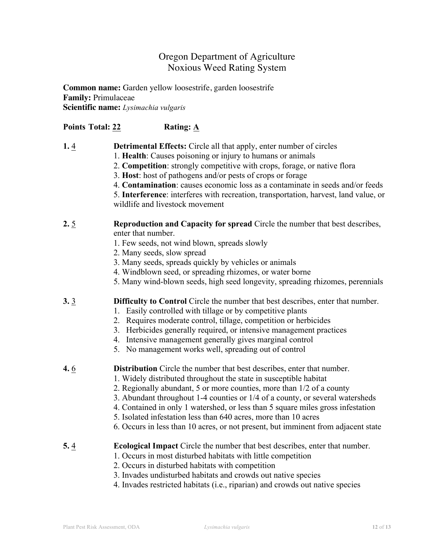# Oregon Department of Agriculture Noxious Weed Rating System

**Common name:** Garden yellow loosestrife, garden loosestrife **Family:** Primulaceae **Scientific name:** *Lysimachia vulgaris*

## **Points Total: 22 Rating: A**

- **1.** 4 **Detrimental Effects:** Circle all that apply, enter number of circles
	- 1. **Health**: Causes poisoning or injury to humans or animals
	- 2. **Competition**: strongly competitive with crops, forage, or native flora
	- 3. **Host**: host of pathogens and/or pests of crops or forage
	- 4. **Contamination**: causes economic loss as a contaminate in seeds and/or feeds
	- 5. **Interference**: interferes with recreation, transportation, harvest, land value, or wildlife and livestock movement

### **2.** 5 **Reproduction and Capacity for spread** Circle the number that best describes, enter that number.

- 1. Few seeds, not wind blown, spreads slowly
- 2. Many seeds, slow spread
- 3. Many seeds, spreads quickly by vehicles or animals
- 4. Windblown seed, or spreading rhizomes, or water borne
- 5. Many wind-blown seeds, high seed longevity, spreading rhizomes, perennials
- **3.** 3 **Difficulty to Control** Circle the number that best describes, enter that number.
	- 1. Easily controlled with tillage or by competitive plants
	- 2. Requires moderate control, tillage, competition or herbicides
	- 3. Herbicides generally required, or intensive management practices
	- 4. Intensive management generally gives marginal control
	- 5. No management works well, spreading out of control
- **4.** 6 **Distribution** Circle the number that best describes, enter that number.
	- 1. Widely distributed throughout the state in susceptible habitat
	- 2. Regionally abundant, 5 or more counties, more than 1/2 of a county
	- 3. Abundant throughout 1-4 counties or 1/4 of a county, or several watersheds
	- 4. Contained in only 1 watershed, or less than 5 square miles gross infestation
	- 5. Isolated infestation less than 640 acres, more than 10 acres
	- 6. Occurs in less than 10 acres, or not present, but imminent from adjacent state

#### **5.** 4 **Ecological Impact** Circle the number that best describes, enter that number.

- 1. Occurs in most disturbed habitats with little competition
- 2. Occurs in disturbed habitats with competition
- 3. Invades undisturbed habitats and crowds out native species
- 4. Invades restricted habitats (i.e., riparian) and crowds out native species